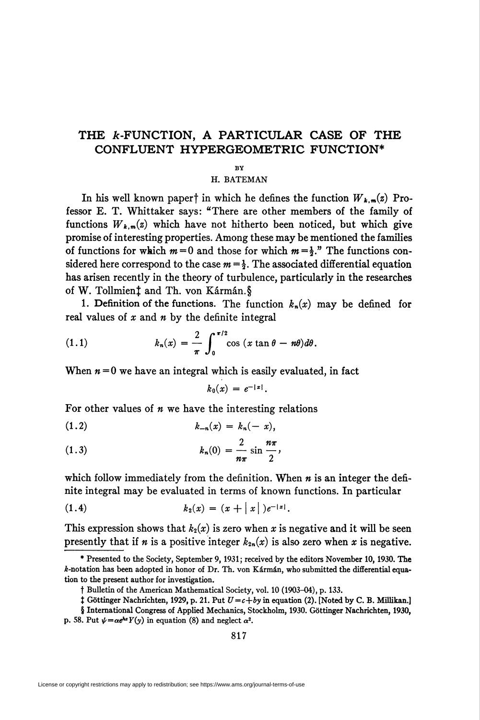## THE  $k$ -FUNCTION, A PARTICULAR CASE OF THE CONFLUENT HYPERGEOMETRIC FUNCTION\*

## BY

H. BATEMAN

In his well known papert in which he defines the function  $W_{k,m}(z)$  Professor E. T. Whittaker says: "There are other members of the family of functions  $W_{k,m}(z)$  which have not hitherto been noticed, but which give promise of interesting properties. Among these may be mentioned the families of functions for which  $m = 0$  and those for which  $m = \frac{1}{2}$ ." The functions considered here correspond to the case  $m = \frac{1}{2}$ . The associated differential equation has arisen recently in the theory of turbulence, particularly in the researches of W. Tollmienî and Th. von Kármán.§

1. Definition of the functions. The function  $k_n(x)$  may be defined for real values of  $x$  and  $n$  by the definite integral

(1.1) 
$$
k_n(x) = \frac{2}{\pi} \int_0^{\pi/2} \cos (x \tan \theta - n\theta) d\theta.
$$

When  $n = 0$  we have an integral which is easily evaluated, in fact

$$
k_0(x) = e^{-|x|}.
$$

For other values of  $n$  we have the interesting relations

$$
(1.2) \t\t k_{-n}(x) = k_n(-x),
$$

(1.3) 
$$
k_n(0) = \frac{2}{n\pi} \sin \frac{n\pi}{2},
$$

which follow immediately from the definition. When  $n$  is an integer the definite integral may be evaluated in terms of known functions. In particular

(1.4) 
$$
k_2(x) = (x + |x|)e^{-|x|}.
$$

This expression shows that  $k_2(x)$  is zero when x is negative and it will be seen presently that if *n* is a positive integer  $k_{2n}(x)$  is also zero when *x* is negative.

<sup>\*</sup> Presented to the Society, September 9, 1931; received by the editors November 10, 1930. The ¿-notation has been adopted in honor of Dr. Th. von Kármán, who submitted the differential equation to the present author for investigation.

f Bulletin of the American Mathematical Society, vol. 10 (1903-04), p. 133.

<sup>&</sup>lt;sup> $\ddagger$ </sup> Göttinger Nachrichten, 1929, p. 21. Put  $U = c + by$  in equation (2). [Noted by C. B. Millikan.]

<sup>§</sup> International Congress of Applied Mechanics, Stockholm, 1930. Göttinger Nachrichten, 1930, p. 58. Put  $\psi = \alpha e^{\lambda x} Y(y)$  in equation (8) and neglect  $\alpha^2$ .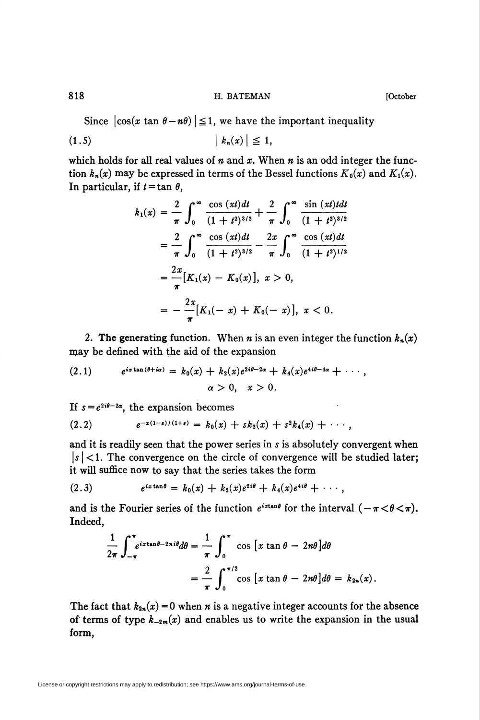818 **B. E. B. E. B. E. BATEMAN H. BATEMAN EXECUTE:**  $[October$ 

Since  $|\cos(x \tan \theta - n\theta)| \leq 1$ , we have the important inequality

$$
(1.5) \t\t\t |k_n(x)| \leq 1,
$$

which holds for all real values of  $n$  and  $x$ . When  $n$  is an odd integer the function  $k_n(x)$  may be expressed in terms of the Bessel functions  $K_0(x)$  and  $K_1(x)$ . In particular, if  $t = \tan \theta$ ,

$$
k_1(x) = \frac{2}{\pi} \int_0^\infty \frac{\cos{(xt)}dt}{(1+t^2)^{3/2}} + \frac{2}{\pi} \int_0^\infty \frac{\sin{(xt)}t dt}{(1+t^2)^{3/2}}
$$
  
\n
$$
= \frac{2}{\pi} \int_0^\infty \frac{\cos{(xt)}dt}{(1+t^2)^{3/2}} - \frac{2x}{\pi} \int_0^\infty \frac{\cos{(xt)}dt}{(1+t^2)^{1/2}}
$$
  
\n
$$
= \frac{2x}{\pi} [K_1(x) - K_0(x)], x > 0,
$$
  
\n
$$
= -\frac{2x}{\pi} [K_1(-x) + K_0(-x)], x < 0.
$$

2. The generating function. When *n* is an even integer the function  $k_n(x)$ may be defined with the aid of the expansion

$$
(2.1) \quad e^{ix\tan(\theta+i\alpha)} = k_0(x) + k_2(x)e^{2i\theta-2\alpha} + k_4(x)e^{4i\theta-4\alpha} + \cdots,
$$
  

$$
\alpha > 0, \quad x > 0.
$$

If  $s = e^{2i\theta - 2\alpha}$ , the expansion becomes

$$
(2.2) \t e^{-x(1-s)/(1+s)} = k_0(x) + sk_2(x) + s^2k_4(x) + \cdots,
$$

and it is readily seen that the power series in s is absolutely convergent when  $|s|$  < 1. The convergence on the circle of convergence will be studied later; it will suffice now to say that the series takes the form

(2.3) 
$$
e^{ix\tan\theta} = k_0(x) + k_2(x)e^{2i\theta} + k_4(x)e^{4i\theta} + \cdots,
$$

and is the Fourier series of the function  $e^{ix\tan\theta}$  for the interval  $(-\pi < \theta < \pi)$ . Indeed,

$$
\frac{1}{2\pi} \int_{-\pi}^{\pi} e^{ix\tan\theta - 2ni\theta} d\theta = \frac{1}{\pi} \int_{0}^{\pi} \cos\left[x\tan\theta - 2n\theta\right] d\theta
$$

$$
= \frac{2}{\pi} \int_{0}^{\pi/2} \cos\left[x\tan\theta - 2n\theta\right] d\theta = k_{2n}(x).
$$

The fact that  $k_{2n}(x) = 0$  when *n* is a negative integer accounts for the absence of terms of type  $k_{-2m}(x)$  and enables us to write the expansion in the usual form,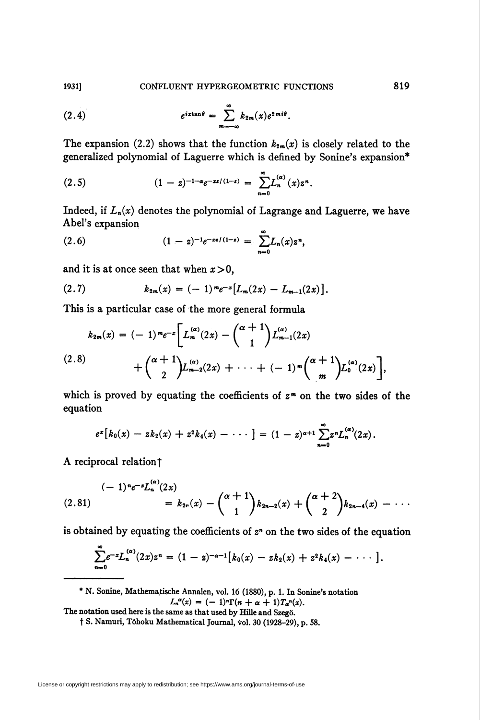1931] CONFLUENT HYPERGEOMETRIC FUNCTIONS 819

(2.4) 
$$
e^{iz\tan\theta} = \sum_{m=-\infty}^{\infty} k_{2m}(x)e^{2mi\theta}.
$$

The expansion (2.2) shows that the function  $k_{2m}(x)$  is closely related to the generalized polynomial of Laguerre which is defined by Sonine's expansion\*

$$
(2.5) \t\t (1-z)^{-1-\alpha}e^{-xz/(1-z)} = \sum_{n=0}^{\infty} L_n^{(\alpha)}(x)z^n.
$$

Indeed, if  $L_n(x)$  denotes the polynomial of Lagrange and Laguerre, we have Abel's expansion

$$
(2.6) \qquad \qquad (1-z)^{-1}e^{-xs/(1-z)} = \sum_{n=0}^{\infty} L_n(x)z^n,
$$

and it is at once seen that when  $x>0$ ,

(2.7) 
$$
k_{2m}(x) = (-1)^m e^{-x} [L_m(2x) - L_{m-1}(2x)].
$$

This is a particular case of the more general formula

$$
k_{2m}(x) = (-1)^m e^{-x} \bigg[ L_m^{(\alpha)}(2x) - {\alpha+1 \choose 1} L_{m-1}^{(\alpha)}(2x) + {\alpha+1 \choose 2} L_{m-2}^{(\alpha)}(2x) + \cdots + (-1)^m {\alpha+1 \choose m} L_0^{(\alpha)}(2x) \bigg],
$$
  
(2.8)

which is proved by equating the coefficients of  $z<sup>m</sup>$  on the two sides of the equation

$$
e^x[k_0(x)-zk_2(x)+z^2k_4(x)-\cdots] = (1-z)^{\alpha+1}\sum_{n=0}^{\infty}z^nL_n^{(\alpha)}(2x).
$$

A reciprocal relation?

$$
(2.81) \qquad (-1)^{n} e^{-x} L_n^{(\alpha)}(2x) = k_{2n}(x) - {\alpha+1 \choose 1} k_{2n-2}(x) + {\alpha+2 \choose 2} k_{2n-4}(x) - \cdots
$$

is obtained by equating the coefficients of  $z<sup>n</sup>$  on the two sides of the equation

$$
\sum_{n=0}^{\infty}e^{-z}L_n^{(\alpha)}(2x)z^n=(1-z)^{-\alpha-1}[k_0(x)-zk_2(x)+z^2k_4(x)-\cdots].
$$

\* N. Sonine, Mathematische Annalen, vol. 16 (1880), p. 1. In Sonine's notation  $L_n^{\alpha}(x) = (-1)^n \Gamma(n + \alpha + 1) T_{\alpha}^{\alpha}(x).$ 

The notation used here is the same as that used by Hille and Szegö.

t S. Namuri, Tôhoku Mathematical Journal, vol. 30 (1928-29), p. 58.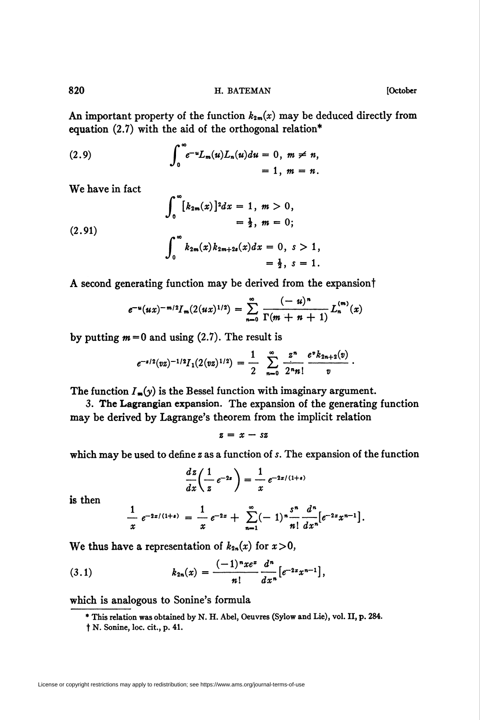820 **H. BATEMAN I. BATEMAN IOctober** 

An important property of the function  $k_{2m}(x)$  may be deduced directly from equation (2.7) with the aid of the orthogonal relation\*

(2.9) 
$$
\int_0^{\infty} e^{-u} L_m(u) L_n(u) du = 0, \ m \neq n, = 1, \ m = n.
$$

 $\overline{a}$ 

We have in fact

$$
\int_0^\infty [k_{2m}(x)]^2 dx = 1, m > 0,
$$
  
\n
$$
= \frac{1}{2}, m = 0;
$$
  
\n(2.91)  
\n
$$
\int_0^\infty k_{2m}(x) k_{2m+2s}(x) dx = 0, s > 1,
$$
  
\n
$$
= \frac{1}{2}, s = 1.
$$

A second generating function may be derived from the expansion

$$
e^{-u}(ux)^{-m/2}I_m(2(ux)^{1/2}) = \sum_{n=0}^{\infty} \frac{(-u)^n}{\Gamma(m+n+1)} L_n^{(m)}(x)
$$

by putting  $m = 0$  and using (2.7). The result is

$$
e^{-s/2}(vz)^{-1/2}I_1(2(vz)^{1/2}) = \frac{1}{2} \sum_{n=0}^{\infty} \frac{z^n}{2^n n!} \frac{e^v k_{2n+2}(v)}{v}.
$$

The function  $I_m(y)$  is the Bessel function with imaginary argument.

3. The Lagrangian expansion. The expansion of the generating function may be derived by Lagrange's theorem from the implicit relation

$$
z = x - sz
$$

which may be used to define z as a function of s. The expansion of the function

$$
\frac{dz}{dx}\left(\frac{1}{z}e^{-2z}\right) = \frac{1}{x}e^{-2z/(1+s)}
$$

is then

$$
\frac{1}{x} e^{-2x/(1+s)} = \frac{1}{x} e^{-2x} + \sum_{n=1}^{\infty} (-1)^n \frac{s^n}{n!} \frac{d^n}{dx^n} \left[ e^{-2x} x^{n-1} \right].
$$

We thus have a representation of  $k_{2n}(x)$  for  $x>0$ ,

(3.1) 
$$
k_{2n}(x) = \frac{(-1)^n x e^x}{n!} \frac{d^n}{dx^n} \left[ e^{-2x} x^{n-1} \right],
$$

which is analogous to Sonine's formula

<sup>\*</sup> This relation was obtained by N. H. Abel, Oeuvres (Sylow and Lie), vol. II, p. 284.

t N. Sonine, loc. cit., p. 41.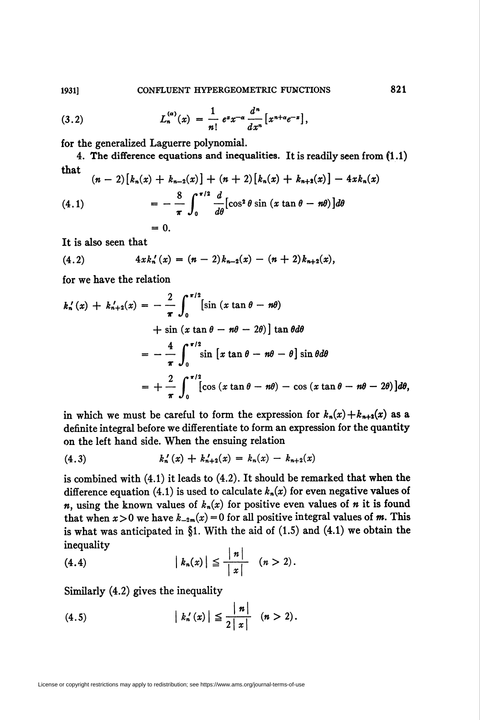(3.2) 
$$
L_n^{(\alpha)}(x) = \frac{1}{n!} e^x x^{-\alpha} \frac{d^n}{dx^n} [x^{n+\alpha} e^{-x}],
$$

for the generalized Laguerre polynomial.

4. The difference equations and inequalities. It is readily seen from (1.1) that

$$
(n-2)\left[k_n(x) + k_{n-2}(x)\right] + (n+2)\left[k_n(x) + k_{n+2}(x)\right] - 4xk_n(x)
$$
\n
$$
= -\frac{8}{\pi} \int_0^{\pi/2} \frac{d}{d\theta} [\cos^2 \theta \sin (x \tan \theta - n\theta)] d\theta
$$
\n
$$
= 0.
$$

It is also seen that

(4.2) 
$$
4x k_n'(x) = (n-2)k_{n-2}(x) - (n+2)k_{n+2}(x),
$$

for we have the relation

$$
k'_n(x) + k'_{n+2}(x) = -\frac{2}{\pi} \int_0^{\pi/2} [\sin (x \tan \theta - n\theta)
$$
  
+  $\sin (x \tan \theta - n\theta - 2\theta)] \tan \theta d\theta$   
=  $-\frac{4}{\pi} \int_0^{\pi/2} \sin [x \tan \theta - n\theta - \theta] \sin \theta d\theta$   
=  $+\frac{2}{\pi} \int_0^{\pi/2} [\cos (x \tan \theta - n\theta) - \cos (x \tan \theta - n\theta - 2\theta)] d\theta$ ,

in which we must be careful to form the expression for  $k_n(x)+k_{n+2}(x)$  as a definite integral before we differentiate to form an expression for the quantity on the left hand side. When the ensuing relation

$$
(4.3) \t\t k'_n(x) + k'_{n+2}(x) = k_n(x) - k_{n+2}(x)
$$

is combined with (4.1) it leads to (4.2). It should be remarked that when the difference equation (4.1) is used to calculate  $k_n(x)$  for even negative values of *n*, using the known values of  $k_n(x)$  for positive even values of *n* it is found that when  $x>0$  we have  $k_{-2m}(x) = 0$  for all positive integral values of m. This is what was anticipated in §1. With the aid of  $(1.5)$  and  $(4.1)$  we obtain the inequality

(4.4) 
$$
|k_n(x)| \leq \frac{|n|}{|x|} \quad (n > 2).
$$

Similarly (4.2) gives the inequality

(4.5) 
$$
|k'_n(x)| \leq \frac{|n|}{2|x|} \quad (n > 2).
$$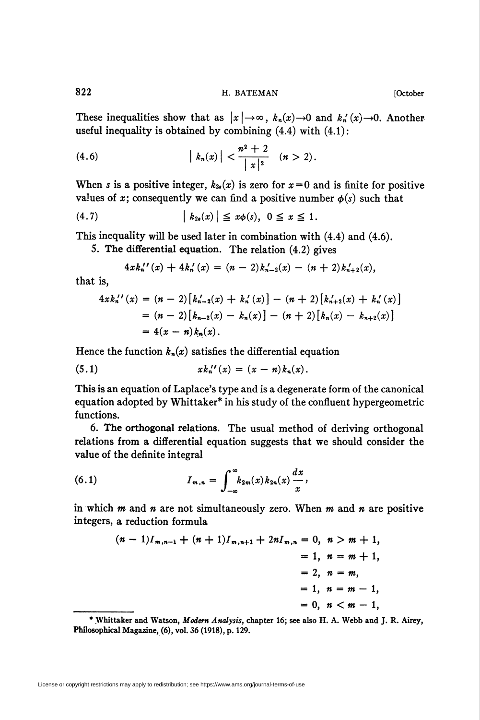822 H. BATEMAN [October

These inequalities show that as  $|x| \to \infty$ ,  $k_n(x) \to 0$  and  $k'_n(x) \to 0$ . Another useful inequality is obtained by combining  $(4.4)$  with  $(4.1)$ :

(4.6) 
$$
|k_n(x)| < \frac{n^2+2}{|x|^2} \quad (n > 2).
$$

When s is a positive integer,  $k_{2s}(x)$  is zero for  $x=0$  and is finite for positive values of x; consequently we can find a positive number  $\phi(s)$  such that

$$
(4.7) \qquad |k_{2s}(x)| \leq x\phi(s), \quad 0 \leq x \leq 1.
$$

This inequality will be used later in combination with (4.4) and (4.6).

5. The differential equation. The relation (4.2) gives

$$
4x k_n''(x) + 4k_n'(x) = (n-2)k_{n-2}'(x) - (n+2)k_{n+2}'(x),
$$

that is,

$$
4x k_n''(x) = (n-2) [k_{n-2}'(x) + k_n'(x)] - (n+2) [k_{n+2}'(x) + k_n'(x)]
$$
  
=  $(n-2) [k_{n-2}(x) - k_n(x)] - (n+2) [k_n(x) - k_{n+2}(x)]$   
=  $4(x-n) k_n(x).$ 

Hence the function  $k_n(x)$  satisfies the differential equation

(5.1) 
$$
x k_n''(x) = (x - n) k_n(x).
$$

This is an equation of Laplace's type and is a degenerate form of the canonical equation adopted by Whittaker\* in his study of the confluent hypergeometric functions.

6. The orthogonal relations. The usual method of deriving orthogonal relations from a differential equation suggests that we should consider the value of the definite integral

(6.1) 
$$
I_{m,n} = \int_{-\infty}^{\infty} k_{2m}(x) k_{2n}(x) \frac{dx}{x}.
$$

in which  $m$  and  $n$  are not simultaneously zero. When  $m$  and  $n$  are positive integers, a reduction formula

$$
(n-1)I_{m,n-1} + (n+1)I_{m,n+1} + 2nI_{m,n} = 0, n > m+1,
$$
  
= 1, n = m + 1,  
= 2, n = m,  
= 1, n = m - 1,  
= 0, n < m - 1,

<sup>\*</sup> Whittaker and Watson, Modem Analysis, chapter 16; see also H. A. Webb and J. R. Airey, Philosophical Magazine, (6), vol. 36 (1918), p. 129.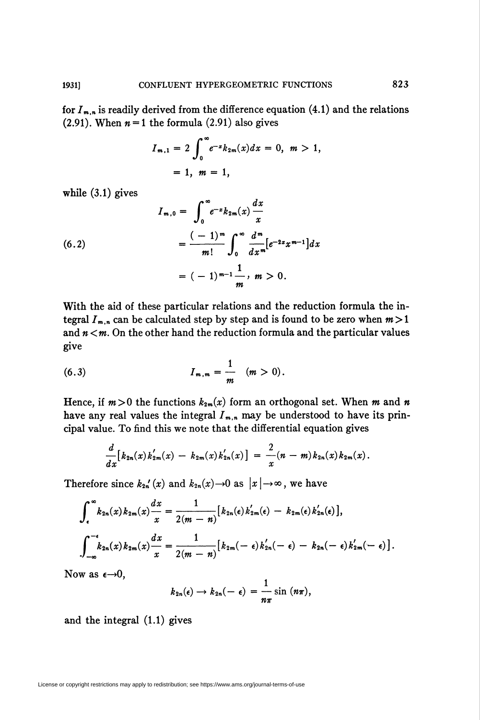for  $I_{m,n}$  is readily derived from the difference equation (4.1) and the relations (2.91). When  $n = 1$  the formula (2.91) also gives

$$
I_{m,1} = 2 \int_0^{\infty} e^{-x} k_{2m}(x) dx = 0, \quad m > 1,
$$
  
= 1,  $m = 1$ ,

while  $(3.1)$  gives

(6.2)  

$$
I_{m,0} = \int_0^{\infty} e^{-x} k_{2m}(x) \frac{dx}{x}
$$

$$
= \frac{(-1)^m}{m!} \int_0^{\infty} \frac{d^m}{dx^m} [e^{-2x} x^{m-1}] dx
$$

$$
= (-1)^{m-1} \frac{1}{m}, m > 0.
$$

With the aid of these particular relations and the reduction formula the integral  $I_{m,n}$  can be calculated step by step and is found to be zero when  $m > 1$ and  $n < m$ . On the other hand the reduction formula and the particular values give

(6.3) 
$$
I_{m,m} = \frac{1}{m} \quad (m > 0).
$$

Hence, if  $m>0$  the functions  $k_{2m}(x)$  form an orthogonal set. When m and n have any real values the integral  $I_{m,n}$  may be understood to have its principal value. To find this we note that the differential equation gives

$$
\frac{d}{dx}\big[k_{2n}(x)k'_{2m}(x) - k_{2m}(x)k'_{2n}(x)\big] = \frac{2}{x}(n-m)k_{2n}(x)k_{2m}(x).
$$

Therefore since  $k_{2n}(x)$  and  $k_{2n}(x) \rightarrow 0$  as  $|x| \rightarrow \infty$ , we have

$$
\int_{\epsilon}^{\infty} k_{2n}(x) k_{2m}(x) \frac{dx}{x} = \frac{1}{2(m-n)} [k_{2n}(\epsilon) k'_{2m}(\epsilon) - k_{2m}(\epsilon) k'_{2n}(\epsilon)],
$$
  

$$
\int_{-\infty}^{-\epsilon} k_{2n}(x) k_{2m}(x) \frac{dx}{x} = \frac{1}{2(m-n)} [k_{2m}(-\epsilon) k'_{2n}(-\epsilon) - k_{2n}(-\epsilon) k'_{2m}(-\epsilon)].
$$

Now as  $\epsilon \rightarrow 0$ ,

$$
k_{2n}(\epsilon) \to k_{2n}(-\epsilon) = \frac{1}{n\pi} \sin (n\pi),
$$

and the integral (1.1) gives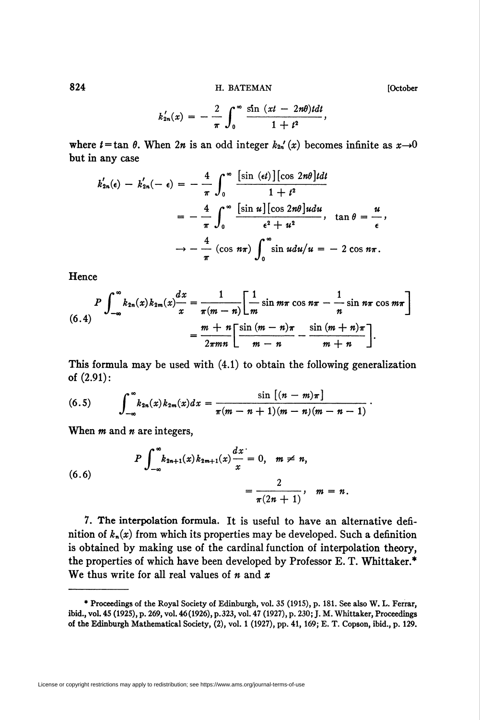H. BATEMAN

$$
k'_{2n}(x) = -\frac{2}{\pi}\int_0^{\infty}\frac{\sin{(xt - 2nt)t}}{1 + t^2},
$$

where  $t = \tan \theta$ . When  $2n$  is an odd integer  $k_{2n}'(x)$  becomes infinite as  $x \rightarrow 0$ but in any case  $\overline{a}$ 

$$
k'_{2n}(\epsilon) - k'_{2n}(-\epsilon) = -\frac{4}{\pi} \int_0^{\infty} \frac{[\sin (\epsilon t)][\cos 2n\theta]t dt}{1+t^2}
$$
  
=  $-\frac{4}{\pi} \int_0^{\infty} \frac{[\sin u][\cos 2n\theta]udu}{\epsilon^2 + u^2}$ ,  $\tan \theta = \frac{u}{\epsilon}$ ,  
 $\rightarrow -\frac{4}{\pi} (\cos n\pi) \int_0^{\infty} \sin u du/u = -2 \cos n\pi$ .

Hence

$$
P \int_{-\infty}^{\infty} k_{2n}(x) k_{2m}(x) \frac{dx}{x} = \frac{1}{\pi(m-n)} \left[ \frac{1}{m} \sin m\pi \cos n\pi - \frac{1}{n} \sin n\pi \cos m\pi \right]
$$

$$
= \frac{m+n}{2\pi mn} \left[ \frac{\sin (m-n)\pi}{m-n} - \frac{\sin (m+n)\pi}{m+n} \right].
$$

This formula may be used with  $(4.1)$  to obtain the following generalization of  $(2.91)$ :

(6.5) 
$$
\int_{-\infty}^{\infty} k_{2n}(x) k_{2m}(x) dx = \frac{\sin[(n-m)\pi]}{\pi(m-n+1)(m-n)(m-n-1)}
$$

When  $m$  and  $n$  are integers,

(6.6) 
$$
P \int_{-\infty}^{\infty} k_{2n+1}(x) k_{2m+1}(x) \frac{dx}{x} = 0, \quad m \neq n, \\ = \frac{2}{\pi (2n+1)}, \quad m = n.
$$

7. The interpolation formula. It is useful to have an alternative definition of  $k_n(x)$  from which its properties may be developed. Such a definition is obtained by making use of the cardinal function of interpolation theory, the properties of which have been developed by Professor E. T. Whittaker.\* We thus write for all real values of  $n$  and  $x$ 

License or copyright restrictions may apply to redistribution; see https://www.ams.org/journal-terms-of-use

[October

824

<sup>\*</sup> Proceedings of the Royal Society of Edinburgh, vol. 35 (1915), p. 181. See also W. L. Ferrar, ibid., vol. 45 (1925), p. 269, vol. 46 (1926), p. 323, vol. 47 (1927), p. 230; J. M. Whittaker, Proceedings of the Edinburgh Mathematical Society, (2), vol. 1 (1927), pp. 41, 169; E. T. Copson, ibid., p. 129.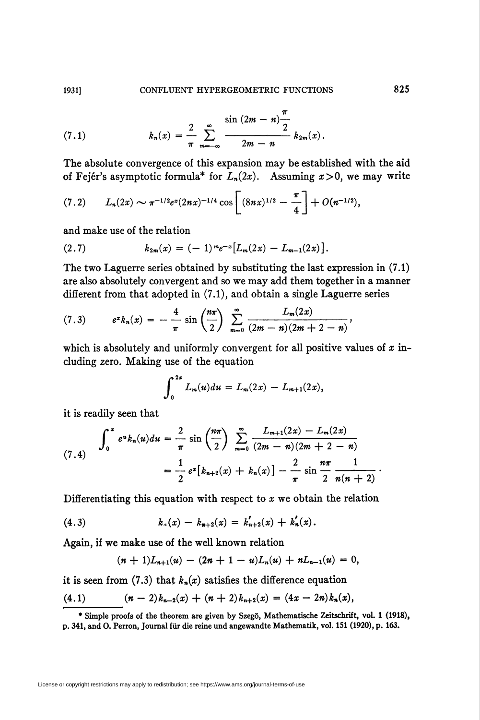(7.1) 
$$
k_n(x) = \frac{2}{\pi} \sum_{m=-\infty}^{\infty} \frac{\sin (2m-n) \frac{\pi}{2}}{2m-n} k_{2m}(x).
$$

The absolute convergence of this expansion may be established with the aid of Fejér's asymptotic formula\* for  $L_n(2x)$ . Assuming  $x>0$ , we may write

$$
(7.2) \qquad L_n(2x) \sim \pi^{-1/2} e^x (2nx)^{-1/4} \cos \left[ (8nx)^{1/2} - \frac{\pi}{4} \right] + O(n^{-1/2}),
$$

and make use of the relation

(2.7) 
$$
k_{2m}(x) = (-1)^m e^{-x} [L_m(2x) - L_{m-1}(2x)].
$$

The two Laguerre series obtained by substituting the last expression in (7.1) are also absolutely convergent and so we may add them together in a manner different from that adopted in (7.1), and obtain a single Laguerre series

(7.3) 
$$
e^{x}k_{n}(x) = -\frac{4}{\pi}\sin\left(\frac{n\pi}{2}\right)\sum_{m=0}^{\infty}\frac{L_{m}(2x)}{(2m-n)(2m+2-n)},
$$

which is absolutely and uniformly convergent for all positive values of  $x$  including zero. Making use of the equation

$$
\int_0^{2x} L_m(u) du = L_m(2x) - L_{m+1}(2x),
$$

it is readily seen that

$$
(7.4) \quad \int_0^x e^u k_n(u) du = \frac{2}{\pi} \sin\left(\frac{n\pi}{2}\right) \sum_{m=0}^\infty \frac{L_{m+1}(2x) - L_m(2x)}{(2m-n)(2m+2-n)} \\ = \frac{1}{2} e^x \big[ k_{n+2}(x) + k_n(x) \big] - \frac{2}{\pi} \sin\frac{n\pi}{2} \frac{1}{n(n+2)} \, .
$$

Differentiating this equation with respect to  $x$  we obtain the relation

(4.3) 
$$
k_{\mu}(x) - k_{n+2}(x) = k'_{n+2}(x) + k'_{n}(x).
$$

Again, if we make use of the well known relation

$$
(n+1)L_{n+1}(u)-(2n+1-u)L_n(u)+nL_{n-1}(u)=0,
$$

it is seen from (7.3) that  $k_n(x)$  satisfies the difference equation

$$
(4.1) \t(n-2)k_{n-2}(x) + (n+2)k_{n+2}(x) = (4x - 2n)k_n(x),
$$

\* Simple proofs of the theorem are given by Szegö, Mathematische Zeitschrift, vol. 1 (1918), p. 341, and 0. Perron, Journal für die reine und angewandte Mathematik, vol. 151 (1920), p. 163.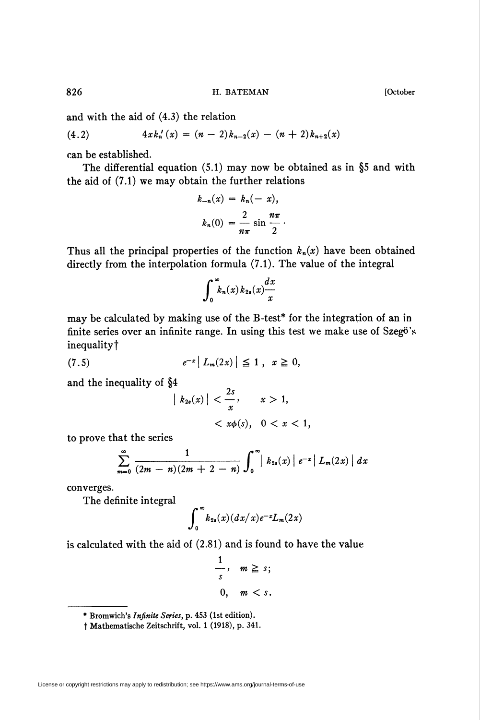and with the aid of (4.3) the relation

$$
(4.2) \t 4x k'_n(x) = (n-2)k_{n-2}(x) - (n+2)k_{n+2}(x)
$$

can be established.

The differential equation  $(5.1)$  may now be obtained as in §5 and with the aid of (7.1) we may obtain the further relations

$$
k_{-n}(x) = k_n(-x),
$$
  

$$
k_n(0) = \frac{2}{n\pi} \sin \frac{n\pi}{2}.
$$

Thus all the principal properties of the function  $k_n(x)$  have been obtained directly from the interpolation formula (7.1). The value of the integral

$$
\int_0^\infty k_n(x) \, k_{2s}(x) \frac{dx}{x}
$$

may be calculated by making use of the B-test\* for the integration of an in finite series over an infinite range. In using this test we make use of Szegö's inequalityt

$$
(7.5) \t\t\t e^{-x} |L_m(2x)| \leq 1 , \t x \geq 0,
$$

and the inequality of §4

$$
\begin{aligned} \left| k_{2s}(x) \right| &< \frac{2s}{x}, & x > 1, \\ &< x\phi(s), & 0 < x < 1, \end{aligned}
$$

to prove that the series

$$
\sum_{m=0}^{\infty}\frac{1}{(2m-n)(2m+2-n)}\int_{0}^{\infty}\mid k_{2s}(x)\mid e^{-x}\mid L_{m}(2x)\mid dx
$$

converges.

The definite integral

$$
\int_0^\infty k_{2s}(x)(dx/x)e^{-x}L_m(2x)
$$

is calculated with the aid of (2.81) and is found to have the value

$$
\frac{1}{s}, \quad m \geq s;
$$
  
0,  $m < s$ .

<sup>\*</sup> Bromwich's Infinite Series, p. 453 (1st edition).

f Mathematische Zeitschrift, vol. 1 (1918), p. 341.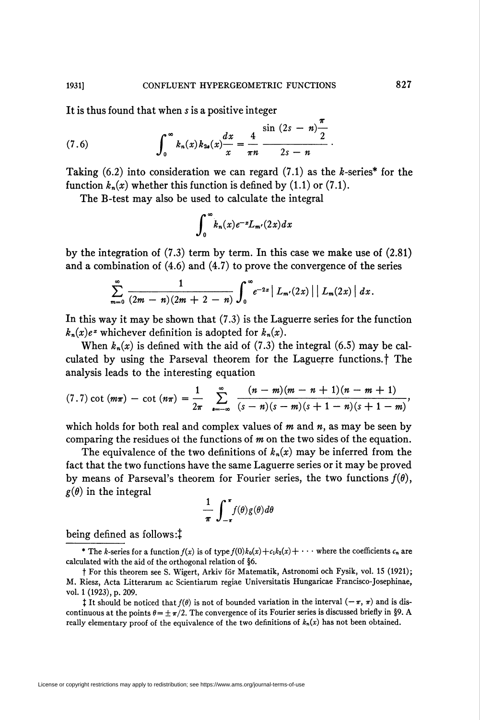It is thus found that when s is a positive integer

(7.6) 
$$
\int_0^\infty k_n(x) k_{2s}(x) \frac{dx}{x} = \frac{4}{\pi n} \frac{\sin (2s - n) - 1}{2s - n}.
$$

Taking (6.2) into consideration we can regard (7.1) as the k-series\* for the function  $k_n(x)$  whether this function is defined by (1.1) or (7.1).

The B-test may also be used to calculate the integral

$$
\int_0^\infty k_n(x)e^{-x}L_{m'}(2x)dx
$$

by the integration of  $(7.3)$  term by term. In this case we make use of  $(2.81)$ and a combination of  $(4.6)$  and  $(4.7)$  to prove the convergence of the series

$$
\sum_{m=0}^{\infty} \frac{1}{(2m-n)(2m+2-n)} \int_{0}^{\infty} e^{-2x} | L_{m'}(2x) | | L_{m}(2x) | dx.
$$

In this way it may be shown that  $(7.3)$  is the Laguerre series for the function  $k_n(x)e^x$  whichever definition is adopted for  $k_n(x)$ .

When  $k_n(x)$  is defined with the aid of (7.3) the integral (6.5) may be calculated by using the Parseval theorem for the Laguerre functions.<sup>†</sup> The analysis leads to the interesting equation

$$
(7.7) \cot (m\pi) - \cot (n\pi) = \frac{1}{2\pi} \sum_{s=-\infty}^{\infty} \frac{(n-m)(m-n+1)(n-m+1)}{(s-n)(s-m)(s+1-n)(s+1-m)}
$$

which holds for both real and complex values of  $m$  and  $n$ , as may be seen by comparing the residues of the functions of  $m$  on the two sides of the equation.

The equivalence of the two definitions of  $k_n(x)$  may be inferred from the fact that the two functions have the same Laguerre series or it may be proved by means of Parseval's theorem for Fourier series, the two functions  $f(\theta)$ ,  $g(\theta)$  in the integral

$$
\frac{1}{\pi}\int_{-\pi}^{\pi}f(\theta)g(\theta)d\theta
$$

being defined as follows:

\* The k-series for a function  $f(x)$  is of type  $f(0)k_0(x)+c_1k_2(x)+\cdots$  where the coefficients  $c_n$  are calculated with the aid of the orthogonal relation of §6.

1931]

<sup>†</sup> For this theorem see S. Wigert, Arkiv för Matematik, Astronomi och Fysik, vol. 15 (1921); M. Riesz, Acta Litterarum ac Scientiarum regiae Universitatis Hungaricae Francisco-Josephinae, vol. 1 (1923), p. 209.

<sup>&</sup>lt;sup>†</sup> It should be noticed that  $f(\theta)$  is not of bounded variation in the interval  $(-\pi, \pi)$  and is discontinuous at the points  $\theta = \pm \pi/2$ . The convergence of its Fourier series is discussed briefly in §9. A really elementary proof of the equivalence of the two definitions of  $k_n(x)$  has not been obtained.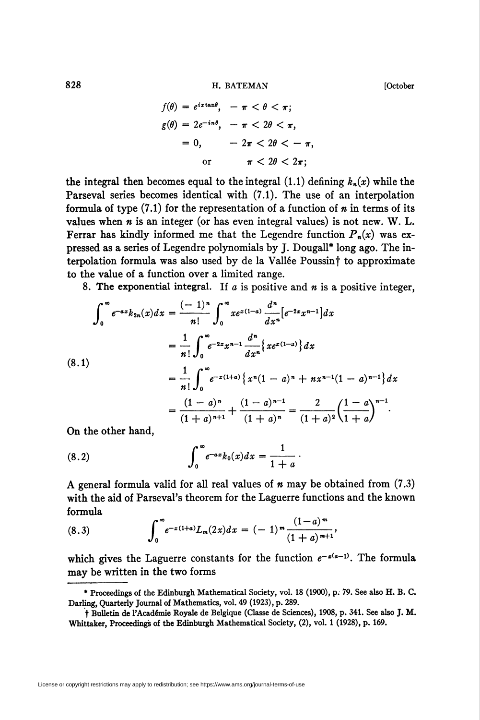828 **H. BATEMAN II. IN** BATEMAN **III.** BATEMAN

$$
f(\theta) = e^{i x \tan \theta}, \quad -\pi < \theta < \pi;
$$
\n
$$
g(\theta) = 2e^{-in\theta}, \quad -\pi < 2\theta < \pi,
$$
\n
$$
= 0, \quad -2\pi < 2\theta < -\pi,
$$
\n
$$
\text{or} \quad \pi < 2\theta < 2\pi;
$$

the integral then becomes equal to the integral (1.1) defining  $k_n(x)$  while the Parseval series becomes identical with (7.1). The use of an interpolation formula of type  $(7.1)$  for the representation of a function of  $n$  in terms of its values when  $n$  is an integer (or has even integral values) is not new. W. L. Ferrar has kindly informed me that the Legendre function  $P_n(x)$  was expressed as a series of Legendre polynomials by J. Dougall\* long ago. The interpolation formula was also used by de la Vallée Poussin<sup>†</sup> to approximate to the value of a function over a limited range.

8. The exponential integral. If  $a$  is positive and  $n$  is a positive integer,

$$
\int_0^\infty e^{-az} k_{2n}(x) dx = \frac{(-1)^n}{n!} \int_0^\infty x e^{x(1-a)} \frac{d^n}{dx^n} [e^{-2x} x^{n-1}] dx
$$
  
\n
$$
= \frac{1}{n!} \int_0^\infty e^{-2x} x^{n-1} \frac{d^n}{dx^n} \{ x e^{x(1-a)} \} dx
$$
  
\n(8.1)  
\n
$$
= \frac{1}{n!} \int_0^\infty e^{-x(1+a)} \{ x^n (1-a)^n + nx^{n-1} (1-a)^{n-1} \} dx
$$
  
\n
$$
= \frac{(1-a)^n}{(1+a)^{n+1}} + \frac{(1-a)^{n-1}}{(1+a)^n} = \frac{2}{(1+a)^2} \left( \frac{1-a}{1+a} \right)^{n-1}.
$$

On the other hand,

(8.2) 
$$
\int_0^{\infty} e^{-ax} k_0(x) dx = \frac{1}{1+a}
$$

A general formula valid for all real values of  $n$  may be obtained from  $(7.3)$ with the aid of Parseval's theorem for the Laguerre functions and the known formula

(8.3) 
$$
\int_0^{\infty} e^{-x(1+a)} L_m(2x) dx = (-1)^m \frac{(1-a)^m}{(1+a)^{m+1}},
$$

which gives the Laguerre constants for the function  $e^{-x(a-1)}$ . The formula may be written in the two forms

<sup>\*</sup> Proceedings of the Edinburgh Mathematical Society, vol. 18 (1900), p. 79. See also H. B. C. Darling, Quarterly Journal of Mathematics, vol. 49 (1923), p. 289.

t Bulletin de l'Académie Royale de Belgique (Classe de Sciences), 1908, p. 341. See also J. M. Whittaker, Proceedings of the Edinburgh Mathematical Society, (2), vol. 1 (1928), p. 169.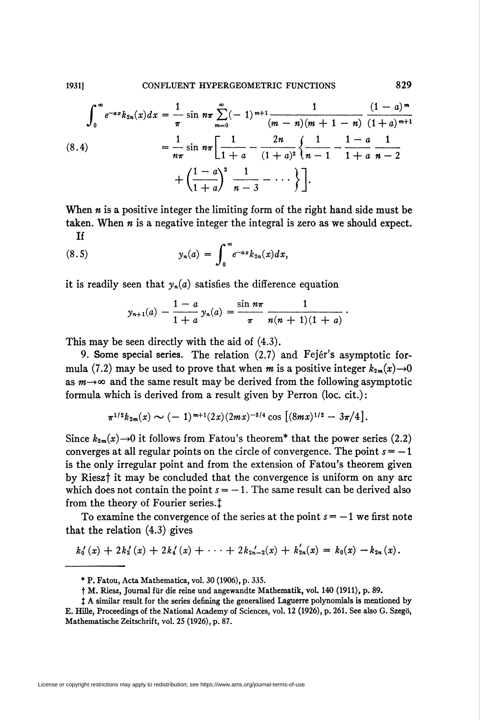1931]

$$
\int_0^{\infty} e^{-ax} k_{2n}(x) dx = \frac{1}{\pi} \sin n\pi \sum_{m=0}^{\infty} (-1)^{m+1} \frac{1}{(m-n)(m+1-n)} \frac{(1-a)^m}{(1+a)^{m+1}}
$$
  
(8.4)
$$
= \frac{1}{n\pi} \sin n\pi \left[ \frac{1}{1+a} - \frac{2n}{(1+a)^2} \left\{ \frac{1}{n-1} - \frac{1-a}{1+a} \frac{1}{n-2} + \left( \frac{1-a}{1+a} \right)^2 \frac{1}{n-3} - \cdots \right\} \right].
$$

When  $n$  is a positive integer the limiting form of the right hand side must be taken. When  $n$  is a negative integer the integral is zero as we should expect. **Tf** 

(8.5) 
$$
y_n(a) = \int_0^{\infty} e^{-ax} k_{2n}(x) dx,
$$

it is readily seen that  $y_n(a)$  satisfies the difference equation

$$
y_{n+1}(a) - \frac{1-a}{1+a} y_n(a) = \frac{\sin n\pi}{\pi} \frac{1}{n(n+1)(1+a)}.
$$

This may be seen directly with the aid of  $(4.3)$ .

9. Some special series. The relation (2.7) and Fejér's asymptotic formula (7.2) may be used to prove that when m is a positive integer  $k_{2m}(x) \rightarrow 0$ as  $m \rightarrow \infty$  and the same result may be derived from the following asymptotic formula which is derived from a result given by Perron (loc. cit.):

$$
\pi^{1/2}k_{2m}(x) \sim (-1)^{m+1}(2x)(2mx)^{-3/4}\cos\left[ (8mx)^{1/2} - 3\pi/4 \right].
$$

Since  $k_{2m}(x) \rightarrow 0$  it follows from Fatou's theorem<sup>\*</sup> that the power series (2.2) converges at all regular points on the circle of convergence. The point  $s = -1$ is the only irregular point and from the extension of Fatou's theorem given by Riesz<sup>†</sup> it may be concluded that the convergence is uniform on any arc which does not contain the point  $s = -1$ . The same result can be derived also from the theory of Fourier series.<sup>†</sup>

To examine the convergence of the series at the point  $s = -1$  we first note that the relation  $(4.3)$  gives

$$
k'_0(x) + 2k'_1(x) + 2k'_1(x) + \cdots + 2k_{2n-2}(x) + k'_{2n}(x) = k_0(x) - k_{2n}(x).
$$

<sup>\*</sup> P. Fatou, Acta Mathematica, vol. 30 (1906), p. 335.

<sup>†</sup> M. Riesz, Journal für die reine und angewandte Mathematik, vol. 140 (1911), p. 89.

<sup>#</sup> A similar result for the series defining the generalised Laguerre polynomials is mentioned by E. Hille, Proceedings of the National Academy of Sciences, vol. 12 (1926), p. 261. See also G. Szegö, Mathematische Zeitschrift, vol. 25 (1926), p. 87.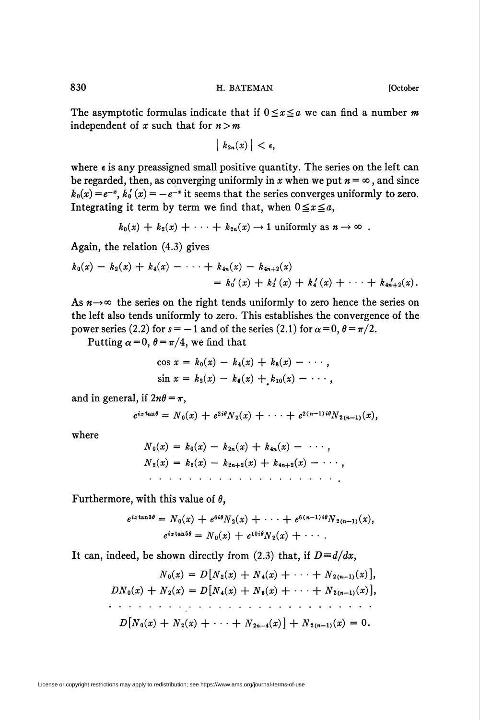The asymptotic formulas indicate that if  $0 \le x \le a$  we can find a number m independent of x such that for  $n>m$ 

$$
|k_{2n}(x)| < \epsilon,
$$

where  $\epsilon$  is any preassigned small positive quantity. The series on the left can be regarded, then, as converging uniformly in x when we put  $n = \infty$ , and since  $k_0(x) = e^{-x}$ ,  $k_0'(x) = -e^{-x}$  it seems that the series converges uniformly to zero. Integrating it term by term we find that, when  $0 \le x \le a$ ,

$$
k_0(x) + k_2(x) + \cdots + k_{2n}(x) \rightarrow 1
$$
 uniformly as  $n \rightarrow \infty$ .

Again, the relation (4.3) gives

$$
k_0(x) - k_2(x) + k_4(x) - \cdots + k_{4n}(x) - k_{4n+2}(x)
$$
  
=  $k_0'(x) + k_2'(x) + k_4'(x) + \cdots + k_{4n+2}(x)$ .

As  $n \rightarrow \infty$  the series on the right tends uniformly to zero hence the series on the left also tends uniformly to zero. This establishes the convergence of the power series (2.2) for  $s = -1$  and of the series (2.1) for  $\alpha = 0$ ,  $\theta = \pi/2$ .

Putting  $\alpha = 0$ ,  $\theta = \pi/4$ , we find that

$$
\cos x = k_0(x) - k_4(x) + k_8(x) - \cdots,
$$
  
\n
$$
\sin x = k_2(x) - k_6(x) + k_{10}(x) - \cdots,
$$

and in general, if  $2n\theta = \pi$ ,

$$
e^{ix\tan\theta} = N_0(x) + e^{2i\theta}N_2(x) + \cdots + e^{2(n-1)i\theta}N_{2(n-1)}(x),
$$

where

$$
N_0(x) = k_0(x) - k_{2n}(x) + k_{4n}(x) - \cdots,
$$
  
\n
$$
N_2(x) = k_2(x) - k_{2n+2}(x) + k_{4n+2}(x) - \cdots,
$$

Furthermore, with this value of  $\theta$ ,

$$
e^{iz\tan 3\theta} = N_0(x) + e^{6i\theta} N_2(x) + \cdots + e^{6(n-1)i\theta} N_{2(n-1)}(x),
$$
  

$$
e^{iz\tan 5\theta} = N_0(x) + e^{10i\theta} N_2(x) + \cdots.
$$

It can, indeed, be shown directly from (2.3) that, if  $D \equiv d/dx$ ,

No(x) = D[Nt(x) + Ni(x) + ■ ■ ■ + tf2(n-i)(x)], DNo(x) + N2(x) = D[Ni(x) + N6(x) + ■ ■ ■+ N2,n-X)(x)], D[No(x) + N2(x) + ■■■ + N2n-i(x)] + iV.(\_i,(\*) = 0.